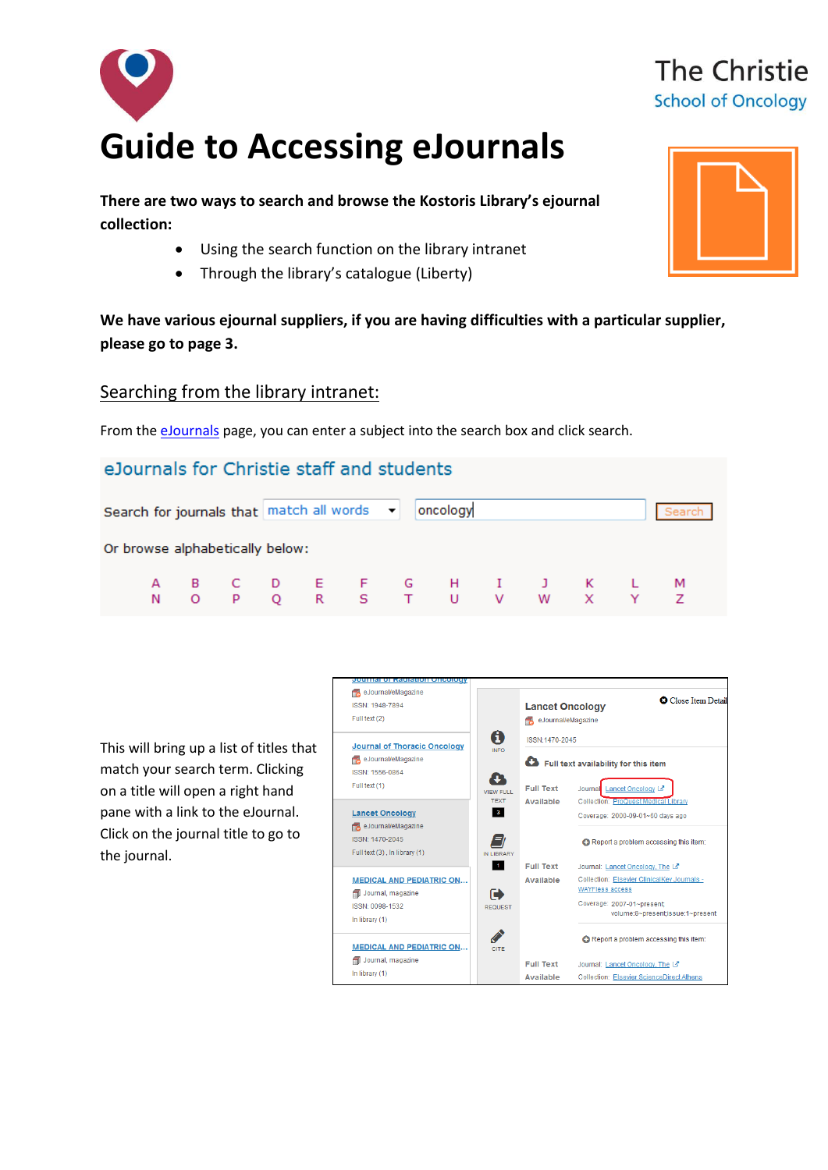

**There are two ways to search and browse the Kostoris Library's ejournal collection:**

- Using the search function on the library intranet
- Through the library's catalogue (Liberty)

**We have various ejournal suppliers, if you are having difficulties with a particular supplier, please go to page 3.** 

#### Searching from the library intranet:

From th[e eJournals](http://discover/departments/library/electronic_journals.htm) page, you can enter a subject into the search box and click search.

## eJournals for Christie staff and students



This will bring up a list of titles that match your search term. Clicking on a title will open a right hand pane with a link to the eJournal. Click on the journal title to go to the journal.





# The Christie **School of Oncology**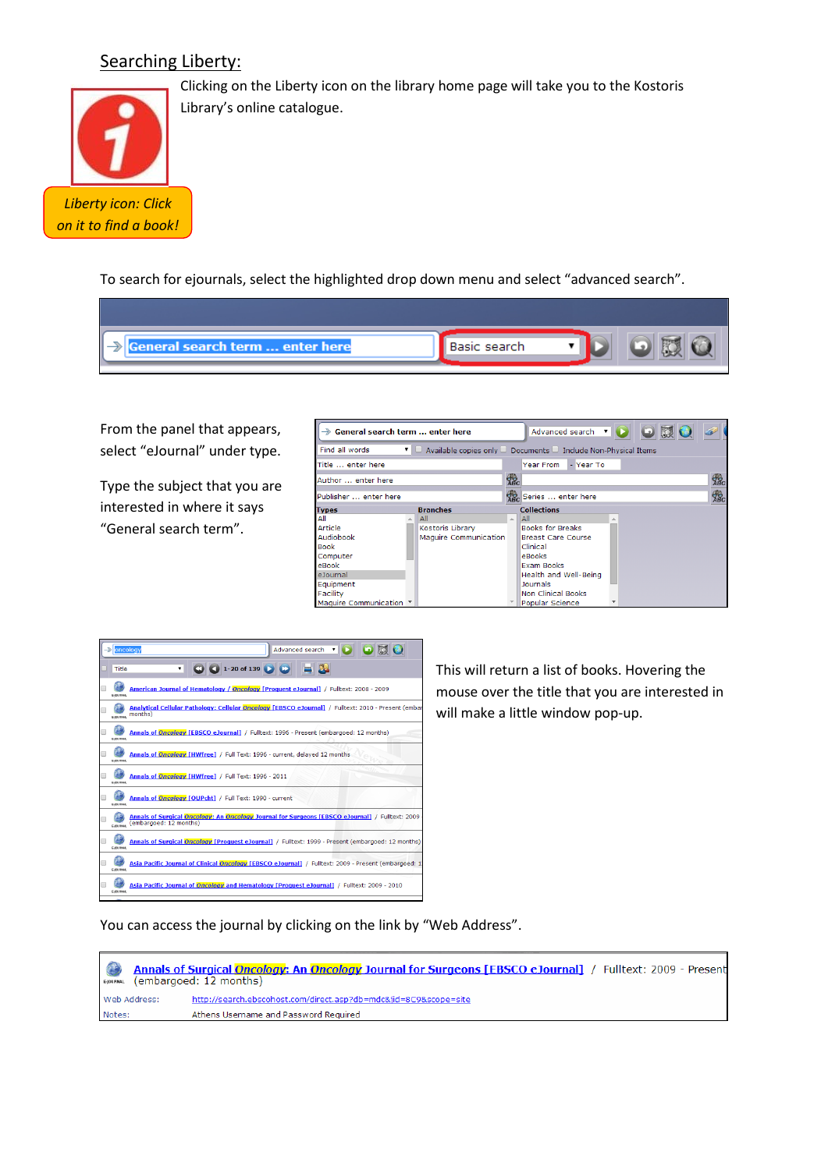## Searching Liberty:



Clicking on the Liberty icon on the library home page will take you to the Kostoris Library's online catalogue.

To search for ejournals, select the highlighted drop down menu and select "advanced search".

| ľ<br><b>General search term  enter here</b> | Basic search |  |
|---------------------------------------------|--------------|--|

From the panel that appears, select "eJournal" under type.

Type the subject that you are interested in where it says "General search term".

| Seneral search term  enter here |  | $\bullet$ $\bullet$ $\bullet$ $\bullet$<br>Advanced search v |                    |                                                                                         |            |
|---------------------------------|--|--------------------------------------------------------------|--------------------|-----------------------------------------------------------------------------------------|------------|
| Find all words                  |  |                                                              |                    | $\blacksquare$ Available copies only $\Box$ Documents $\Box$ Include Non-Physical Items |            |
| Title  enter here               |  |                                                              |                    | Year From<br>- Year To                                                                  |            |
| Author  enter here              |  |                                                              | gg <sub>c</sub>    |                                                                                         | <b>SBC</b> |
| Publisher  enter here           |  |                                                              | Series  enter here | $\frac{d}{d}$                                                                           |            |
| <b>Types</b>                    |  | <b>Branches</b>                                              |                    | <b>Collections</b>                                                                      |            |
| All                             |  | All                                                          | A.                 | All                                                                                     |            |
| Article                         |  | Kostoris Library                                             |                    | <b>Books for Breaks</b>                                                                 |            |
| Audiobook                       |  | Maguire Communication                                        |                    | <b>Breast Care Course</b>                                                               |            |
| <b>Book</b>                     |  |                                                              |                    | Clinical                                                                                |            |
| Computer                        |  |                                                              |                    | eBooks                                                                                  |            |
| eBook                           |  |                                                              |                    | <b>Exam Books</b>                                                                       |            |
| eJournal                        |  |                                                              |                    | Health and Well-Being                                                                   |            |
| Equipment                       |  |                                                              |                    | <b>Journals</b>                                                                         |            |
| Facility                        |  |                                                              |                    | <b>Non Clinical Books</b>                                                               |            |
| Maguire Communication ▼         |  |                                                              |                    | Popular Science                                                                         |            |

| ঌ | oncology         | Advanced search v                                                                                                         |
|---|------------------|---------------------------------------------------------------------------------------------------------------------------|
|   | Title            | <b>C</b> 1-20 of 139<br>$\pmb{\mathrm{v}}$                                                                                |
|   | <b>C-IOURNAL</b> | American Journal of Hematology / Oncology [Proquest eJournal] / Fulltext: 2008 - 2009                                     |
|   | <b>C-IOURNAL</b> | Analytical Cellular Pathology: Cellular Oncology [EBSCO eJournal] / Fulltext: 2010 - Present (embar<br>months)            |
|   | <b>E-IOURNAL</b> | Annals of Oncology [EBSCO eJournal] / Fulltext: 1996 - Present (embargoed: 12 months)                                     |
|   | E-JOURNAL        | Annals of Oncology [HWfree] / Full Text: 1996 - current, delayed 12 months                                                |
|   | <b>E-IOURNAL</b> | Annals of Oncology [HWfree] / Full Text: 1996 - 2011                                                                      |
|   | <b>E-IOURNAL</b> | Annals of Oncology [OUPcht] / Full Text: 1990 - current                                                                   |
|   | CANIDAN          | Annals of Surgical Oncology: An Oncology Journal for Surgeons [EBSCO eJournal] / Fulltext: 2009<br>(embargoed: 12 months) |
|   | <b>E-IOURNAL</b> | Annals of Surgical Oncology [Proquest eJournal] / Fulltext: 1999 - Present (embargoed: 12 months)                         |
|   | E-IOURNAL        | Asia Pacific Journal of Clinical Oncology [EBSCO eJournal] / Fulltext: 2009 - Present (embargoed: 13                      |
|   | E-IOURNAL        | Asia Pacific Journal of <i>Oncology</i> and Hematology [Proguest eJournal] / Fulltext: 2009 - 2010                        |

This will return a list of books. Hovering the mouse over the title that you are interested in will make a little window pop-up.

You can access the journal by clicking on the link by "Web Address".

 $\bigcirc$ Annals of Surgical Oncology: An Oncology Journal for Surgeons [EBSCO eJournal] / Fulltext: 2009 - Present EYOURNAL (embargoed: 12 months) http://search.ebscohost.com/direct.asp?db=mdc&jid=8C9&scope=site Web Address: Athens Username and Password Required Notes: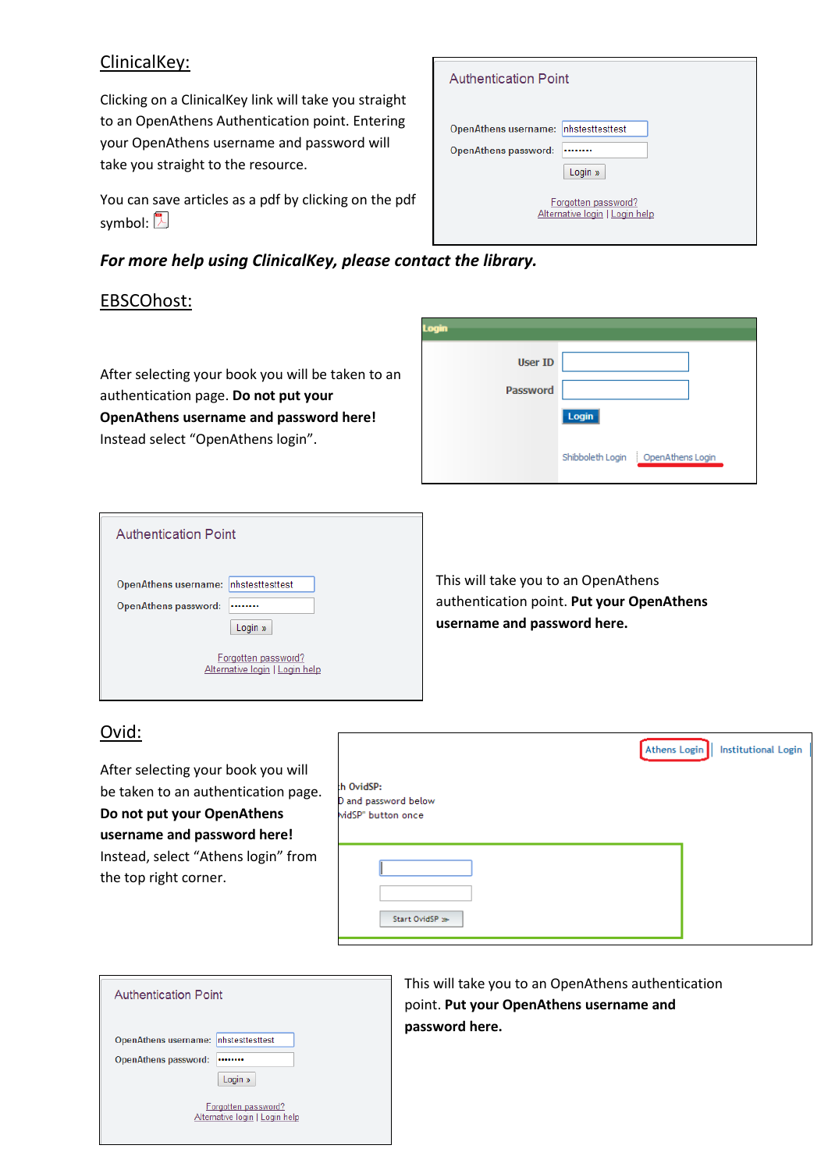## ClinicalKey:

Clicking on a ClinicalKey link will take you straight to an OpenAthens Authentication point. Entering your OpenAthens username and password will take you straight to the resource.

You can save articles as a pdf by clicking on the pdf symbol:  $\mathbb{\mathbb{Z}}$ 

## *For more help using ClinicalKey, please contact the library.*

 $\Gamma$ 

## EBSCOhost:

After selecting your book you will be taken to an authentication page. **Do not put your OpenAthens username and password here!** Instead select "OpenAthens login".

| <b>Authentication Point</b>                                                        |
|------------------------------------------------------------------------------------|
| Inhstesttesttest<br><b>OpenAthens username:</b><br>OpenAthens password:<br>Login » |
| Forgotten password?<br>Alternative login   Login help                              |

| Login           |                                      |
|-----------------|--------------------------------------|
| <b>User ID</b>  |                                      |
| <b>Password</b> |                                      |
|                 | Login                                |
|                 | Shibboleth Login<br>OpenAthens Login |

| <b>Authentication Point</b>                                                        |
|------------------------------------------------------------------------------------|
| Inhstesttesttest<br><b>OpenAthens username:</b><br>OpenAthens password:<br>Login » |
| Forgotten password?<br>Alternative login   Login help                              |

This will take you to an OpenAthens authentication point. **Put your OpenAthens username and password here.**

## Ovid:

After selecting your book you will be taken to an authentication page. **Do not put your OpenAthens username and password here!** Instead, select "Athens login" from the top right corner.

|                                                          | Athens Login<br>Institutional Login |  |
|----------------------------------------------------------|-------------------------------------|--|
| th OvidSP:<br>D and password below<br>widSP" button once |                                     |  |
| Start OvidSP >>                                          |                                     |  |

٦

| <b>Authentication Point</b>                                                              |
|------------------------------------------------------------------------------------------|
| nhstesttesttest<br><b>OpenAthens username:</b><br><b>OpenAthens password:</b><br>Login » |
| Forgotten password?<br>Alternative login   Login help                                    |

This will take you to an OpenAthens authentication point. **Put your OpenAthens username and password here.**